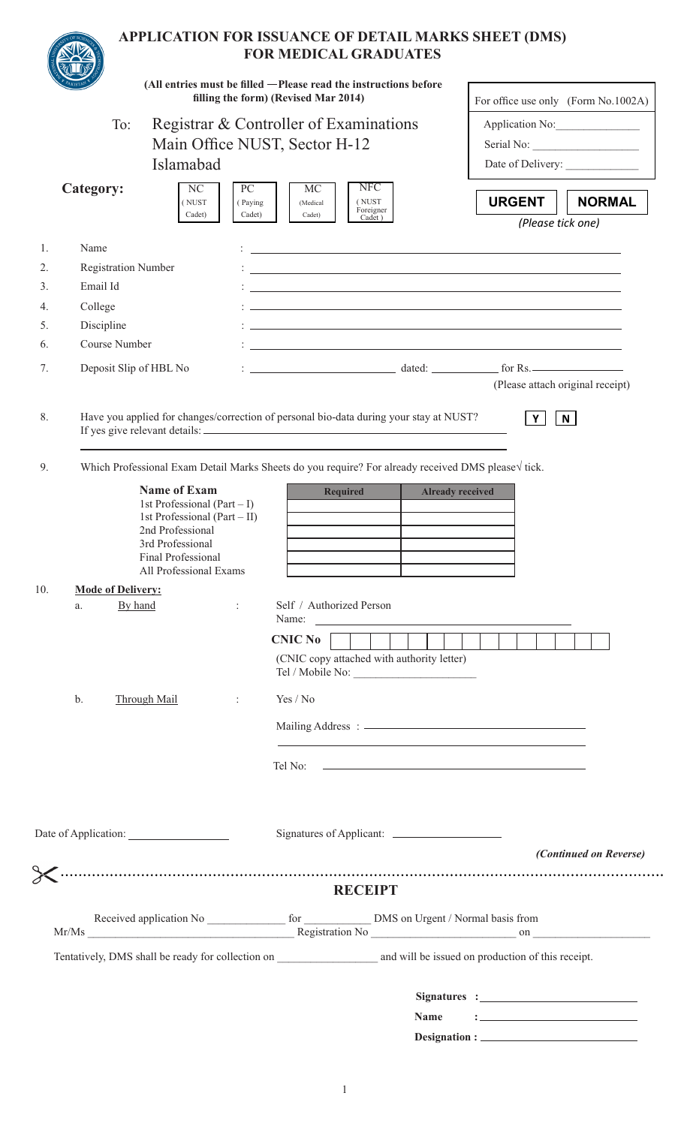|           |                            |                                                                                                                                                                                |                         |                                                                         | <b>FOR MEDICAL GRADUATES</b>                                                           | APPLICATION FOR ISSUANCE OF DETAIL MARKS SHEET (DMS)                                                                                                                                                                                                                                                                                                    |                               |  |
|-----------|----------------------------|--------------------------------------------------------------------------------------------------------------------------------------------------------------------------------|-------------------------|-------------------------------------------------------------------------|----------------------------------------------------------------------------------------|---------------------------------------------------------------------------------------------------------------------------------------------------------------------------------------------------------------------------------------------------------------------------------------------------------------------------------------------------------|-------------------------------|--|
|           |                            |                                                                                                                                                                                |                         | filling the form) (Revised Mar 2014)                                    | (All entries must be filled - Please read the instructions before                      | For office use only (Form No.1002A)                                                                                                                                                                                                                                                                                                                     |                               |  |
|           | To:                        |                                                                                                                                                                                |                         | Registrar & Controller of Examinations<br>Main Office NUST, Sector H-12 |                                                                                        |                                                                                                                                                                                                                                                                                                                                                         | Application No:<br>Serial No: |  |
| Islamabad |                            |                                                                                                                                                                                |                         |                                                                         |                                                                                        |                                                                                                                                                                                                                                                                                                                                                         |                               |  |
|           | <b>Category:</b>           | NC<br>(NUST<br>Cadet)                                                                                                                                                          | PC<br>(Paying<br>Cadet) | MC<br>(Medical<br>Cadet)                                                | <b>NFC</b><br>(NUST<br>Foreigner<br>Cadet)                                             | <b>URGENT</b><br>(Please tick one)                                                                                                                                                                                                                                                                                                                      | <b>NORMAL</b>                 |  |
| 1.        | Name                       |                                                                                                                                                                                |                         |                                                                         |                                                                                        | and the control of the control of the control of the control of the control of the control of the control of the                                                                                                                                                                                                                                        |                               |  |
| 2.        | <b>Registration Number</b> |                                                                                                                                                                                |                         |                                                                         |                                                                                        | and the control of the control of the control of the control of the control of the control of the control of the                                                                                                                                                                                                                                        |                               |  |
| 3.        | Email Id                   |                                                                                                                                                                                |                         |                                                                         |                                                                                        | the control of the control of the control of the control of the control of the control of the control of the control of the control of the control of the control of the control of the control of the control of the control                                                                                                                           |                               |  |
| 4.        | College                    |                                                                                                                                                                                |                         |                                                                         |                                                                                        | <u> 1989 - Johann Stoff, amerikansk politiker (* 1908)</u>                                                                                                                                                                                                                                                                                              |                               |  |
| 5.        | Discipline                 |                                                                                                                                                                                |                         |                                                                         |                                                                                        | the control of the control of the control of the control of the control of the control of the control of the control of the control of the control of the control of the control of the control of the control of the control                                                                                                                           |                               |  |
| 6.        | Course Number              |                                                                                                                                                                                |                         |                                                                         |                                                                                        | and the control of the control of the control of the control of the control of the control of the control of the                                                                                                                                                                                                                                        |                               |  |
| 7.        | Deposit Slip of HBL No     |                                                                                                                                                                                |                         |                                                                         |                                                                                        | $\frac{1}{2}$ $\frac{1}{2}$ $\frac{1}{2}$ $\frac{1}{2}$ $\frac{1}{2}$ $\frac{1}{2}$ $\frac{1}{2}$ $\frac{1}{2}$ $\frac{1}{2}$ $\frac{1}{2}$ $\frac{1}{2}$ $\frac{1}{2}$ $\frac{1}{2}$ $\frac{1}{2}$ $\frac{1}{2}$ $\frac{1}{2}$ $\frac{1}{2}$ $\frac{1}{2}$ $\frac{1}{2}$ $\frac{1}{2}$ $\frac{1}{2}$ $\frac{1}{2}$<br>(Please attach original receipt) |                               |  |
| 8.        |                            |                                                                                                                                                                                |                         |                                                                         | Have you applied for changes/correction of personal bio-data during your stay at NUST? | Y                                                                                                                                                                                                                                                                                                                                                       | $\mathsf{N}$                  |  |
| 9.        |                            |                                                                                                                                                                                |                         |                                                                         |                                                                                        | Which Professional Exam Detail Marks Sheets do you require? For already received DMS please√ tick.                                                                                                                                                                                                                                                      |                               |  |
|           |                            | <b>Name of Exam</b><br>1st Professional (Part $-1$ )<br>1st Professional (Part $-$ II)<br>2nd Professional<br>3rd Professional<br>Final Professional<br>All Professional Exams |                         |                                                                         | <b>Required</b>                                                                        | <b>Already received</b>                                                                                                                                                                                                                                                                                                                                 |                               |  |
| 10.       | <b>Mode of Delivery:</b>   |                                                                                                                                                                                |                         |                                                                         |                                                                                        |                                                                                                                                                                                                                                                                                                                                                         |                               |  |
|           | By hand<br>a.              |                                                                                                                                                                                | ÷.                      | Self / Authorized Person<br>$CNIC$ No $\vert$ $\vert$                   |                                                                                        |                                                                                                                                                                                                                                                                                                                                                         |                               |  |
|           |                            |                                                                                                                                                                                |                         |                                                                         | (CNIC copy attached with authority letter)                                             |                                                                                                                                                                                                                                                                                                                                                         |                               |  |
|           | b.                         | Through Mail                                                                                                                                                                   | ÷                       | Yes / No                                                                |                                                                                        |                                                                                                                                                                                                                                                                                                                                                         |                               |  |
|           |                            |                                                                                                                                                                                |                         |                                                                         |                                                                                        |                                                                                                                                                                                                                                                                                                                                                         |                               |  |
|           |                            |                                                                                                                                                                                |                         |                                                                         |                                                                                        |                                                                                                                                                                                                                                                                                                                                                         |                               |  |
|           |                            |                                                                                                                                                                                |                         |                                                                         |                                                                                        |                                                                                                                                                                                                                                                                                                                                                         | (Continued on Reverse)        |  |
|           |                            |                                                                                                                                                                                |                         |                                                                         |                                                                                        |                                                                                                                                                                                                                                                                                                                                                         |                               |  |
|           |                            |                                                                                                                                                                                |                         |                                                                         | <b>RECEIPT</b>                                                                         |                                                                                                                                                                                                                                                                                                                                                         |                               |  |
|           |                            |                                                                                                                                                                                |                         |                                                                         |                                                                                        |                                                                                                                                                                                                                                                                                                                                                         |                               |  |
|           |                            |                                                                                                                                                                                |                         |                                                                         |                                                                                        |                                                                                                                                                                                                                                                                                                                                                         |                               |  |
|           |                            |                                                                                                                                                                                |                         |                                                                         |                                                                                        |                                                                                                                                                                                                                                                                                                                                                         |                               |  |
|           |                            |                                                                                                                                                                                |                         |                                                                         |                                                                                        | <b>Name</b>                                                                                                                                                                                                                                                                                                                                             |                               |  |
|           |                            |                                                                                                                                                                                |                         |                                                                         |                                                                                        | Designation : _____                                                                                                                                                                                                                                                                                                                                     |                               |  |